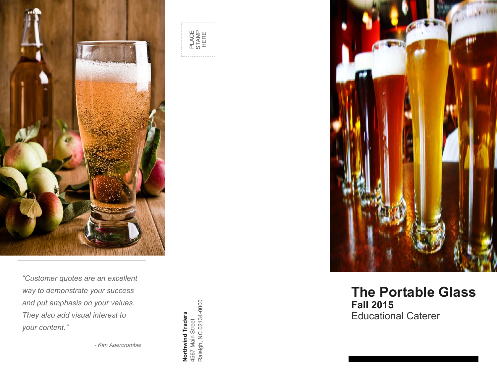





### **The Portable Glass Fall 2015** Educational Caterer

 $s = \frac{1}{\sqrt{2}}$ years. We recommend Northwind Traders *"Customer quotes are an excellent*  way to demonstrate your success helped us reclaim over 700 square feet of and put emphasis on your values. *They also add visual interest to your content."*

*- Kim Abercrombie*

**Northwind Traders** 4567 Main Street Raleigh, NC 02134 **Northwind Traders**<br>4567 Main Street<br>Raleigh, NC 02134-0000